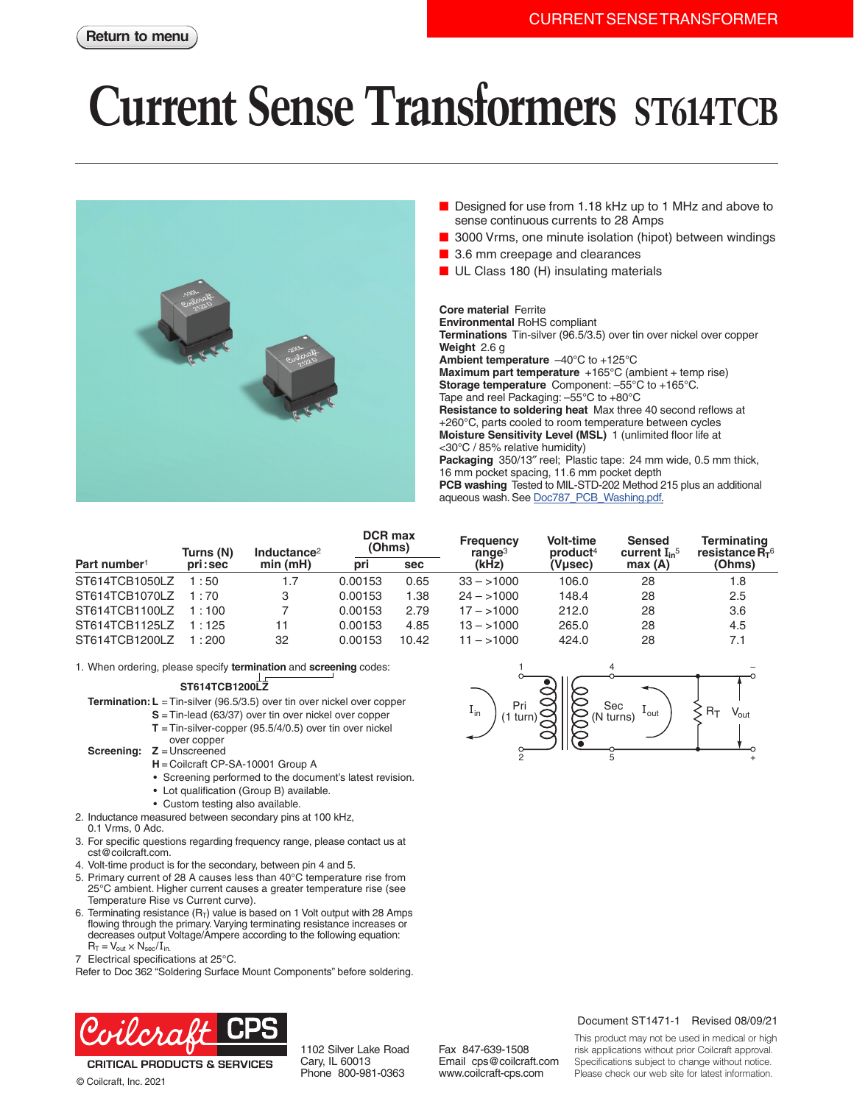## **Current Sense Transformers ST614TCB**



- Designed for use from 1.18 kHz up to 1 MHz and above to sense continuous currents to 28 Amps
- 3000 Vrms, one minute isolation (hipot) between windings
- 3.6 mm creepage and clearances
- UL Class 180 (H) insulating materials

**Core material** Ferrite **Environmental** RoHS compliant **Terminations** Tin-silver (96.5/3.5) over tin over nickel over copper **Weight** 2.6 g **Ambient temperature** –40°C to +125°C **Maximum part temperature** +165°C (ambient + temp rise) **Storage temperature** Component: –55°C to +165°C. Tape and reel Packaging: –55°C to +80°C **Resistance to soldering heat** Max three 40 second reflows at +260°C, parts cooled to room temperature between cycles **Moisture Sensitivity Level (MSL)** 1 (unlimited floor life at <30°C / 85% relative humidity) **Packaging** 350/13″ reel; Plastic tape: 24 mm wide, 0.5 mm thick, 16 mm pocket spacing, 11.6 mm pocket depth **PCB washing** Tested to MIL-STD-202 Method 215 plus an additional aqueous wash. See [Doc787\\_PCB\\_Washing.pdf](http://www.coilcraft.com/pdfs/Doc787_PCB_Washing.pdf).

|                          | Turns (N) | Inductance <sup>2</sup> | <b>DCR max</b><br>(Ohms) |            | <b>Frequency</b><br>range <sup>3</sup> | Volt-time<br>product <sup>4</sup> | <b>Sensed</b><br>current $I_{in}$ <sup>5</sup> | <b>Terminating</b><br>resistance $R_{\tau}$ <sup>6</sup> |
|--------------------------|-----------|-------------------------|--------------------------|------------|----------------------------------------|-----------------------------------|------------------------------------------------|----------------------------------------------------------|
| Part number <sup>1</sup> | pri:sec   | min(mH)                 | pri                      | <b>sec</b> | (kHz)                                  | (Vµsec)                           | max(A)                                         | (Ohms)                                                   |
| ST614TCB1050LZ           | 1:50      | 1.7                     | 0.00153                  | 0.65       | $33 - 1000$                            | 106.0                             | 28                                             | 1.8                                                      |
| ST614TCB1070LZ           | 1:70      | 3                       | 0.00153                  | 1.38       | $24 - 1000$                            | 148.4                             | 28                                             | 2.5                                                      |
| ST614TCB1100LZ           | 1:100     |                         | 0.00153                  | 2.79       | $17 - 1000$                            | 212.0                             | 28                                             | 3.6                                                      |
| ST614TCB1125LZ           | 1:125     | 11                      | 0.00153                  | 4.85       | $13 - 1000$                            | 265.0                             | 28                                             | 4.5                                                      |
| ST614TCB1200LZ           | l:200     | 32                      | 0.00153                  | 10.42      | 11 – >1000                             | 424.0                             | 28                                             | 7.1                                                      |

1. When ordering, please specify **termination** and **screening** codes:

## **ST614TCB1200LZ**

- **Termination: L** = Tin-silver (96.5/3.5) over tin over nickel over copper
	- **S** = Tin-lead (63/37) over tin over nickel over copper
		- **T** = Tin-silver-copper (95.5/4/0.5) over tin over nickel
	- over copper
- **Screening: Z** = Unscreened
	- **H** = Coilcraft CP-SA-10001 Group A
	- Screening performed to the document's latest revision.
	- Lot qualification (Group B) available.
	- Custom testing also available.
- 2. Inductance measured between secondary pins at 100 kHz,
- 0.1 Vrms, 0 Adc.
- 3. For specific questions regarding frequency range, please contact us at cst@coilcraft.com.
- 4. Volt-time product is for the secondary, between pin 4 and 5.
- 5. Primary current of 28 A causes less than 40°C temperature rise from 25°C ambient. Higher current causes a greater temperature rise (see Temperature Rise vs Current curve).
- 6. Terminating resistance  $(R_T)$  value is based on 1 Volt output with 28 Amps flowing through the primary. Varying terminating resistance increases or decreases output Voltage/Ampere according to the following equation:  $R_T = V_{out} \times N_{sec}/I_{in}$
- 7 Electrical specifications at 25°C.

Refer to Doc 362 "Soldering Surface Mount Components" before soldering.



**CRITICAL PRODUCTS & SERVICES** 

© Coilcraft, Inc. 2021

1102 Silver Lake Road Cary, IL 60013 Phone 800-981-0363

Fax 847-639-1508 Email cps@coilcraft.com www.coilcraft-cps.com

## Document ST1471-1 Revised 08/09/21

This product may not be used in medical or high risk applications without prior Coilcraft approval. Specifications subject to change without notice. Please check our web site for latest information.